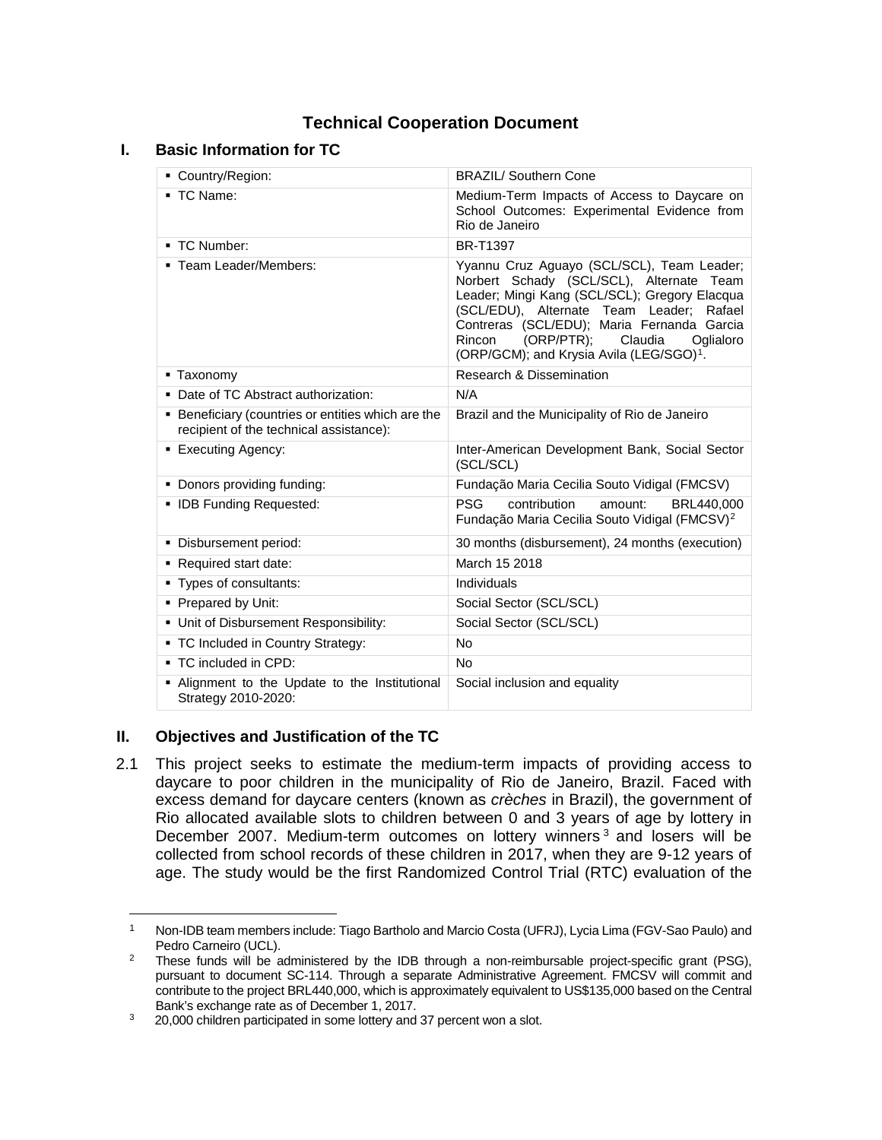# **Technical Cooperation Document**

### **I. Basic Information for TC**

| Country/Region:                                                                               | <b>BRAZIL/ Southern Cone</b>                                                                                                                                                                                                                                                                                                              |
|-----------------------------------------------------------------------------------------------|-------------------------------------------------------------------------------------------------------------------------------------------------------------------------------------------------------------------------------------------------------------------------------------------------------------------------------------------|
| ■ TC Name:                                                                                    | Medium-Term Impacts of Access to Daycare on<br>School Outcomes: Experimental Evidence from<br>Rio de Janeiro                                                                                                                                                                                                                              |
| ■ TC Number:                                                                                  | <b>BR-T1397</b>                                                                                                                                                                                                                                                                                                                           |
| • Team Leader/Members:                                                                        | Yyannu Cruz Aguayo (SCL/SCL), Team Leader;<br>Norbert Schady (SCL/SCL), Alternate Team<br>Leader; Mingi Kang (SCL/SCL); Gregory Elacqua<br>(SCL/EDU), Alternate Team Leader; Rafael<br>Contreras (SCL/EDU); Maria Fernanda Garcia<br>(ORP/PTR);<br>Rincon<br>Claudia<br>Oglialoro<br>(ORP/GCM); and Krysia Avila (LEG/SGO) <sup>1</sup> . |
| • Taxonomy                                                                                    | Research & Dissemination                                                                                                                                                                                                                                                                                                                  |
| • Date of TC Abstract authorization:                                                          | N/A                                                                                                                                                                                                                                                                                                                                       |
| • Beneficiary (countries or entities which are the<br>recipient of the technical assistance): | Brazil and the Municipality of Rio de Janeiro                                                                                                                                                                                                                                                                                             |
| ■ Executing Agency:                                                                           | Inter-American Development Bank, Social Sector<br>(SCL/SCL)                                                                                                                                                                                                                                                                               |
| • Donors providing funding:                                                                   | Fundação Maria Cecilia Souto Vidigal (FMCSV)                                                                                                                                                                                                                                                                                              |
| • IDB Funding Requested:                                                                      | <b>PSG</b><br>contribution<br>amount:<br>BRL440.000<br>Fundação Maria Cecilia Souto Vidigal (FMCSV) <sup>2</sup>                                                                                                                                                                                                                          |
| · Disbursement period:                                                                        | 30 months (disbursement), 24 months (execution)                                                                                                                                                                                                                                                                                           |
| Required start date:                                                                          | March 15 2018                                                                                                                                                                                                                                                                                                                             |
| • Types of consultants:                                                                       | Individuals                                                                                                                                                                                                                                                                                                                               |
| • Prepared by Unit:                                                                           | Social Sector (SCL/SCL)                                                                                                                                                                                                                                                                                                                   |
| • Unit of Disbursement Responsibility:                                                        | Social Sector (SCL/SCL)                                                                                                                                                                                                                                                                                                                   |
| • TC Included in Country Strategy:                                                            | No                                                                                                                                                                                                                                                                                                                                        |
| ■ TC included in CPD:                                                                         | <b>No</b>                                                                                                                                                                                                                                                                                                                                 |
| . Alignment to the Update to the Institutional<br>Strategy 2010-2020:                         | Social inclusion and equality                                                                                                                                                                                                                                                                                                             |

### **II. Objectives and Justification of the TC**

2.1 This project seeks to estimate the medium-term impacts of providing access to daycare to poor children in the municipality of Rio de Janeiro, Brazil. Faced with excess demand for daycare centers (known as *crèches* in Brazil), the government of Rio allocated available slots to children between 0 and 3 years of age by lottery in December 2007. Medium-term outcomes on lottery winners  $3$  and losers will be collected from school records of these children in 2017, when they are 9-12 years of age. The study would be the first Randomized Control Trial (RTC) evaluation of the

<span id="page-0-0"></span><sup>1</sup> Non-IDB team members include: Tiago Bartholo and Marcio Costa (UFRJ), Lycia Lima (FGV-Sao Paulo) and Pedro Carneiro (UCL).

<span id="page-0-1"></span><sup>&</sup>lt;sup>2</sup> These funds will be administered by the IDB through a non-reimbursable project-specific grant (PSG), pursuant to document SC-114. Through a separate Administrative Agreement. FMCSV will commit and contribute to the project BRL440,000, which is approximately equivalent to US\$135,000 based on the Central Bank's exchange rate as of December 1, 2017.

<span id="page-0-2"></span><sup>&</sup>lt;sup>3</sup> 20,000 children participated in some lottery and 37 percent won a slot.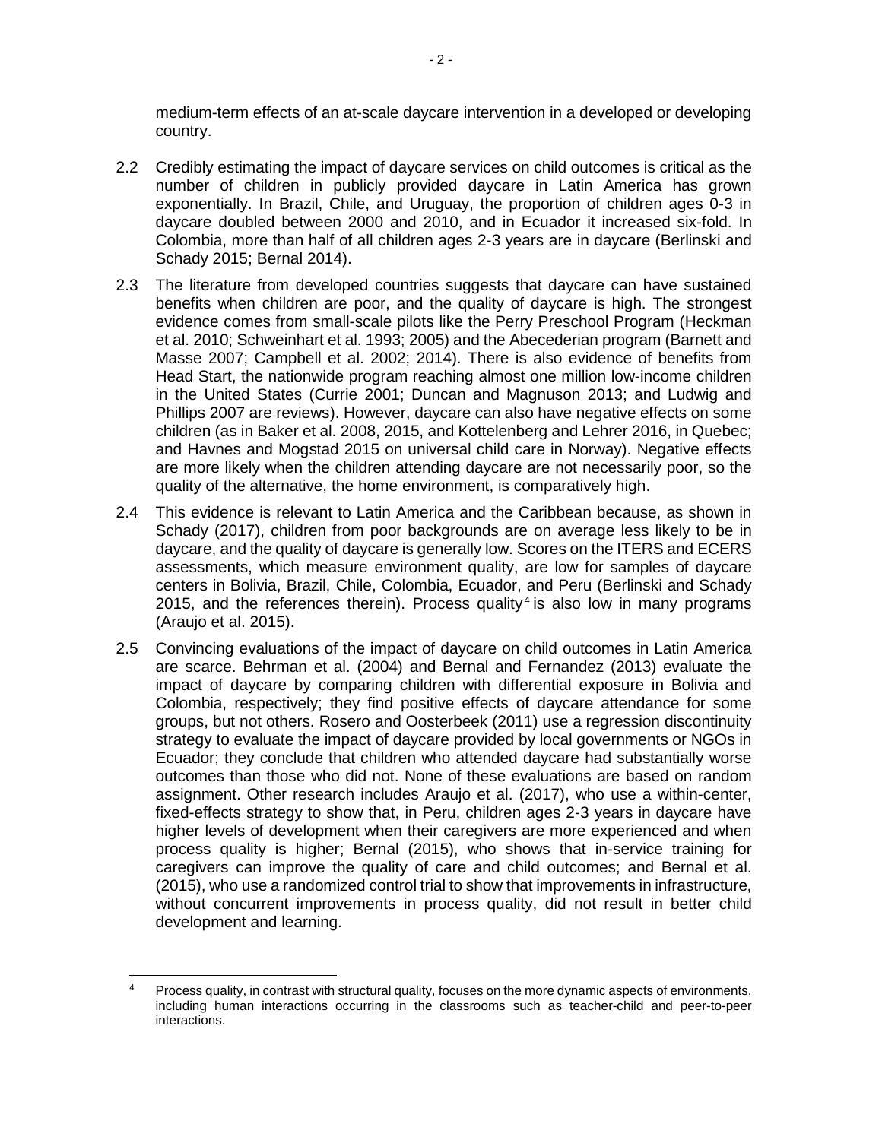medium-term effects of an at-scale daycare intervention in a developed or developing country.

- 2.2 Credibly estimating the impact of daycare services on child outcomes is critical as the number of children in publicly provided daycare in Latin America has grown exponentially. In Brazil, Chile, and Uruguay, the proportion of children ages 0-3 in daycare doubled between 2000 and 2010, and in Ecuador it increased six-fold. In Colombia, more than half of all children ages 2-3 years are in daycare (Berlinski and Schady 2015; Bernal 2014).
- 2.3 The literature from developed countries suggests that daycare can have sustained benefits when children are poor, and the quality of daycare is high. The strongest evidence comes from small-scale pilots like the Perry Preschool Program (Heckman et al. 2010; Schweinhart et al. 1993; 2005) and the Abecederian program (Barnett and Masse 2007; Campbell et al. 2002; 2014). There is also evidence of benefits from Head Start, the nationwide program reaching almost one million low-income children in the United States (Currie 2001; Duncan and Magnuson 2013; and Ludwig and Phillips 2007 are reviews). However, daycare can also have negative effects on some children (as in Baker et al. 2008, 2015, and Kottelenberg and Lehrer 2016, in Quebec; and Havnes and Mogstad 2015 on universal child care in Norway). Negative effects are more likely when the children attending daycare are not necessarily poor, so the quality of the alternative, the home environment, is comparatively high.
- 2.4 This evidence is relevant to Latin America and the Caribbean because, as shown in Schady (2017), children from poor backgrounds are on average less likely to be in daycare, and the quality of daycare is generally low. Scores on the ITERS and ECERS assessments, which measure environment quality, are low for samples of daycare centers in Bolivia, Brazil, Chile, Colombia, Ecuador, and Peru (Berlinski and Schady 2015, and the references therein). Process quality<sup>[4](#page-1-0)</sup> is also low in many programs (Araujo et al. 2015).
- 2.5 Convincing evaluations of the impact of daycare on child outcomes in Latin America are scarce. Behrman et al. (2004) and Bernal and Fernandez (2013) evaluate the impact of daycare by comparing children with differential exposure in Bolivia and Colombia, respectively; they find positive effects of daycare attendance for some groups, but not others. Rosero and Oosterbeek (2011) use a regression discontinuity strategy to evaluate the impact of daycare provided by local governments or NGOs in Ecuador; they conclude that children who attended daycare had substantially worse outcomes than those who did not. None of these evaluations are based on random assignment. Other research includes Araujo et al. (2017), who use a within-center, fixed-effects strategy to show that, in Peru, children ages 2-3 years in daycare have higher levels of development when their caregivers are more experienced and when process quality is higher; Bernal (2015), who shows that in-service training for caregivers can improve the quality of care and child outcomes; and Bernal et al. (2015), who use a randomized control trial to show that improvements in infrastructure, without concurrent improvements in process quality, did not result in better child development and learning.

<span id="page-1-0"></span>l Process quality, in contrast with structural quality, focuses on the more dynamic aspects of environments, including human interactions occurring in the classrooms such as teacher-child and peer-to-peer interactions.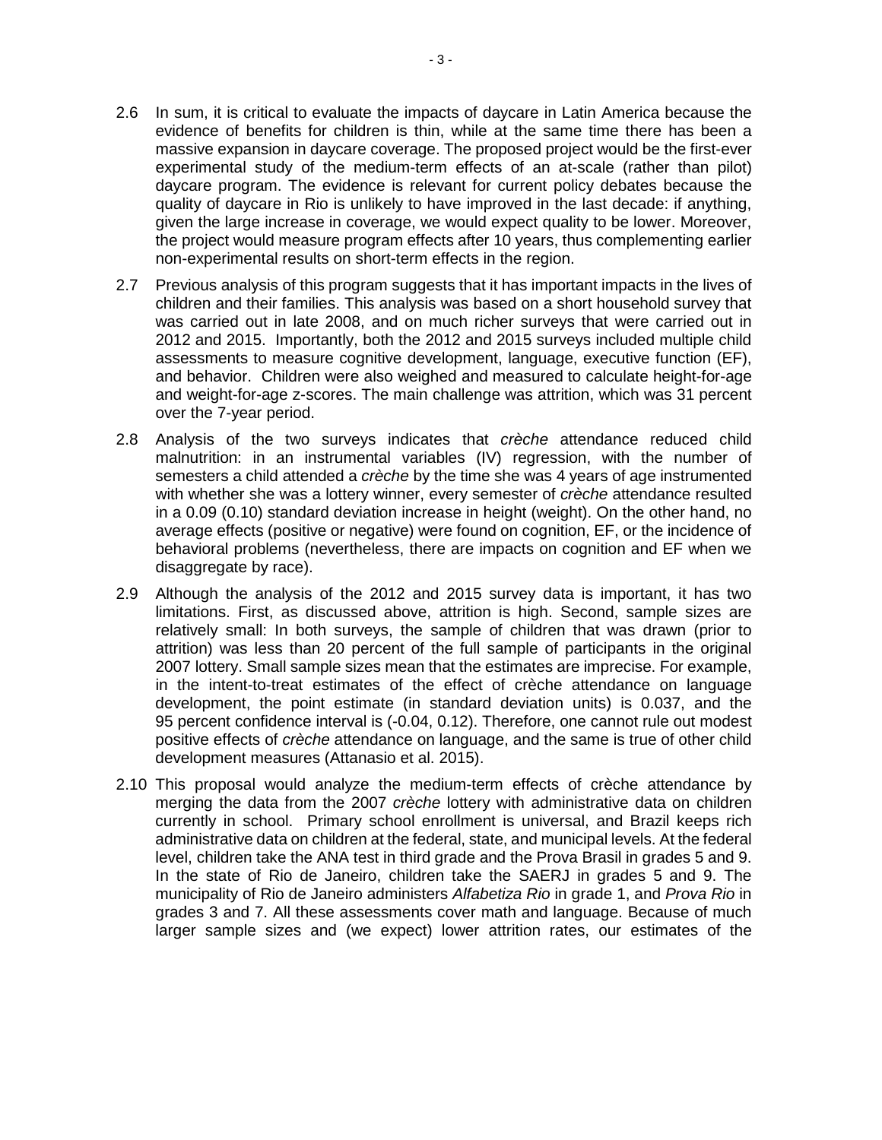- 2.6 In sum, it is critical to evaluate the impacts of daycare in Latin America because the evidence of benefits for children is thin, while at the same time there has been a massive expansion in daycare coverage. The proposed project would be the first-ever experimental study of the medium-term effects of an at-scale (rather than pilot) daycare program. The evidence is relevant for current policy debates because the quality of daycare in Rio is unlikely to have improved in the last decade: if anything, given the large increase in coverage, we would expect quality to be lower. Moreover, the project would measure program effects after 10 years, thus complementing earlier non-experimental results on short-term effects in the region.
- 2.7 Previous analysis of this program suggests that it has important impacts in the lives of children and their families. This analysis was based on a short household survey that was carried out in late 2008, and on much richer surveys that were carried out in 2012 and 2015. Importantly, both the 2012 and 2015 surveys included multiple child assessments to measure cognitive development, language, executive function (EF), and behavior. Children were also weighed and measured to calculate height-for-age and weight-for-age z-scores. The main challenge was attrition, which was 31 percent over the 7-year period.
- 2.8 Analysis of the two surveys indicates that *crèche* attendance reduced child malnutrition: in an instrumental variables (IV) regression, with the number of semesters a child attended a *crèche* by the time she was 4 years of age instrumented with whether she was a lottery winner, every semester of *crèche* attendance resulted in a 0.09 (0.10) standard deviation increase in height (weight). On the other hand, no average effects (positive or negative) were found on cognition, EF, or the incidence of behavioral problems (nevertheless, there are impacts on cognition and EF when we disaggregate by race).
- 2.9 Although the analysis of the 2012 and 2015 survey data is important, it has two limitations. First, as discussed above, attrition is high. Second, sample sizes are relatively small: In both surveys, the sample of children that was drawn (prior to attrition) was less than 20 percent of the full sample of participants in the original 2007 lottery. Small sample sizes mean that the estimates are imprecise. For example, in the intent-to-treat estimates of the effect of crèche attendance on language development, the point estimate (in standard deviation units) is 0.037, and the 95 percent confidence interval is (-0.04, 0.12). Therefore, one cannot rule out modest positive effects of *crèche* attendance on language, and the same is true of other child development measures (Attanasio et al. 2015).
- 2.10 This proposal would analyze the medium-term effects of crèche attendance by merging the data from the 2007 *crèche* lottery with administrative data on children currently in school. Primary school enrollment is universal, and Brazil keeps rich administrative data on children at the federal, state, and municipal levels. At the federal level, children take the ANA test in third grade and the Prova Brasil in grades 5 and 9. In the state of Rio de Janeiro, children take the SAERJ in grades 5 and 9. The municipality of Rio de Janeiro administers *Alfabetiza Rio* in grade 1, and *Prova Rio* in grades 3 and 7. All these assessments cover math and language. Because of much larger sample sizes and (we expect) lower attrition rates, our estimates of the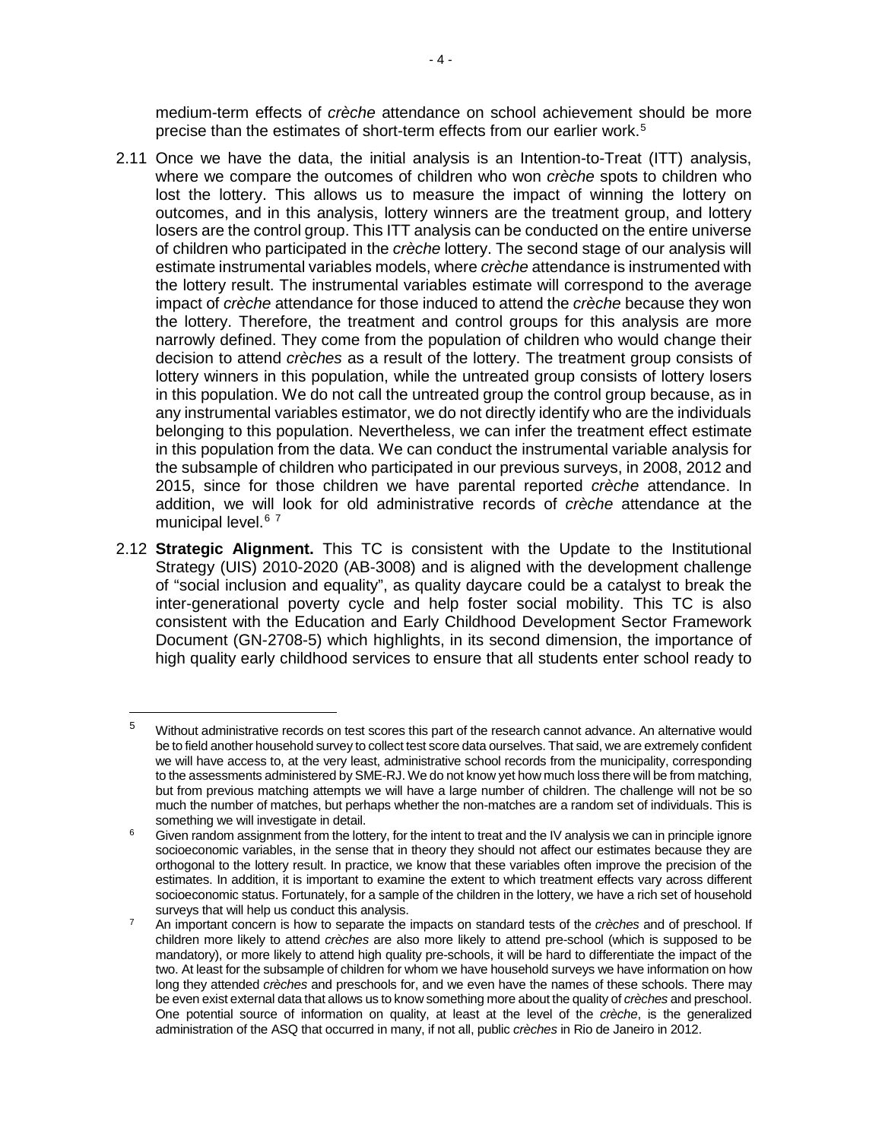medium-term effects of *crèche* attendance on school achievement should be more precise than the estimates of short-term effects from our earlier work.[5](#page-3-0)

- 2.11 Once we have the data, the initial analysis is an Intention-to-Treat (ITT) analysis, where we compare the outcomes of children who won *crèche* spots to children who lost the lottery. This allows us to measure the impact of winning the lottery on outcomes, and in this analysis, lottery winners are the treatment group, and lottery losers are the control group. This ITT analysis can be conducted on the entire universe of children who participated in the *crèche* lottery. The second stage of our analysis will estimate instrumental variables models, where *crèche* attendance is instrumented with the lottery result. The instrumental variables estimate will correspond to the average impact of *crèche* attendance for those induced to attend the *crèche* because they won the lottery. Therefore, the treatment and control groups for this analysis are more narrowly defined. They come from the population of children who would change their decision to attend *crèches* as a result of the lottery. The treatment group consists of lottery winners in this population, while the untreated group consists of lottery losers in this population. We do not call the untreated group the control group because, as in any instrumental variables estimator, we do not directly identify who are the individuals belonging to this population. Nevertheless, we can infer the treatment effect estimate in this population from the data. We can conduct the instrumental variable analysis for the subsample of children who participated in our previous surveys, in 2008, 2012 and 2015, since for those children we have parental reported *crèche* attendance. In addition, we will look for old administrative records of *crèche* attendance at the municipal level. [6](#page-3-1) [7](#page-3-2)
- <span id="page-3-3"></span>2.12 **Strategic Alignment.** This TC is consistent with the Update to the Institutional Strategy (UIS) 2010-2020 (AB-3008) and is aligned with the development challenge of "social inclusion and equality", as quality daycare could be a catalyst to break the inter-generational poverty cycle and help foster social mobility. This TC is also consistent with the Education and Early Childhood Development Sector Framework Document (GN-2708-5) which highlights, in its second dimension, the importance of high quality early childhood services to ensure that all students enter school ready to

 $\overline{\phantom{a}}$ 

<span id="page-3-0"></span><sup>&</sup>lt;sup>5</sup> Without administrative records on test scores this part of the research cannot advance. An alternative would be to field another household survey to collect test score data ourselves. That said, we are extremely confident we will have access to, at the very least, administrative school records from the municipality, corresponding to the assessments administered by SME-RJ. We do not know yet how much loss there will be from matching, but from previous matching attempts we will have a large number of children. The challenge will not be so much the number of matches, but perhaps whether the non-matches are a random set of individuals. This is something we will investigate in detail.

<span id="page-3-1"></span>Given random assignment from the lottery, for the intent to treat and the IV analysis we can in principle ignore socioeconomic variables, in the sense that in theory they should not affect our estimates because they are orthogonal to the lottery result. In practice, we know that these variables often improve the precision of the estimates. In addition, it is important to examine the extent to which treatment effects vary across different socioeconomic status. Fortunately, for a sample of the children in the lottery, we have a rich set of household surveys that will help us conduct this analysis.

<span id="page-3-2"></span><sup>7</sup> An important concern is how to separate the impacts on standard tests of the *crèches* and of preschool. If children more likely to attend *crèches* are also more likely to attend pre-school (which is supposed to be mandatory), or more likely to attend high quality pre-schools, it will be hard to differentiate the impact of the two. At least for the subsample of children for whom we have household surveys we have information on how long they attended *crèches* and preschools for, and we even have the names of these schools. There may be even exist external data that allows us to know something more about the quality of *crèches* and preschool. One potential source of information on quality, at least at the level of the *crèche*, is the generalized administration of the ASQ that occurred in many, if not all, public *crèches* in Rio de Janeiro in 2012.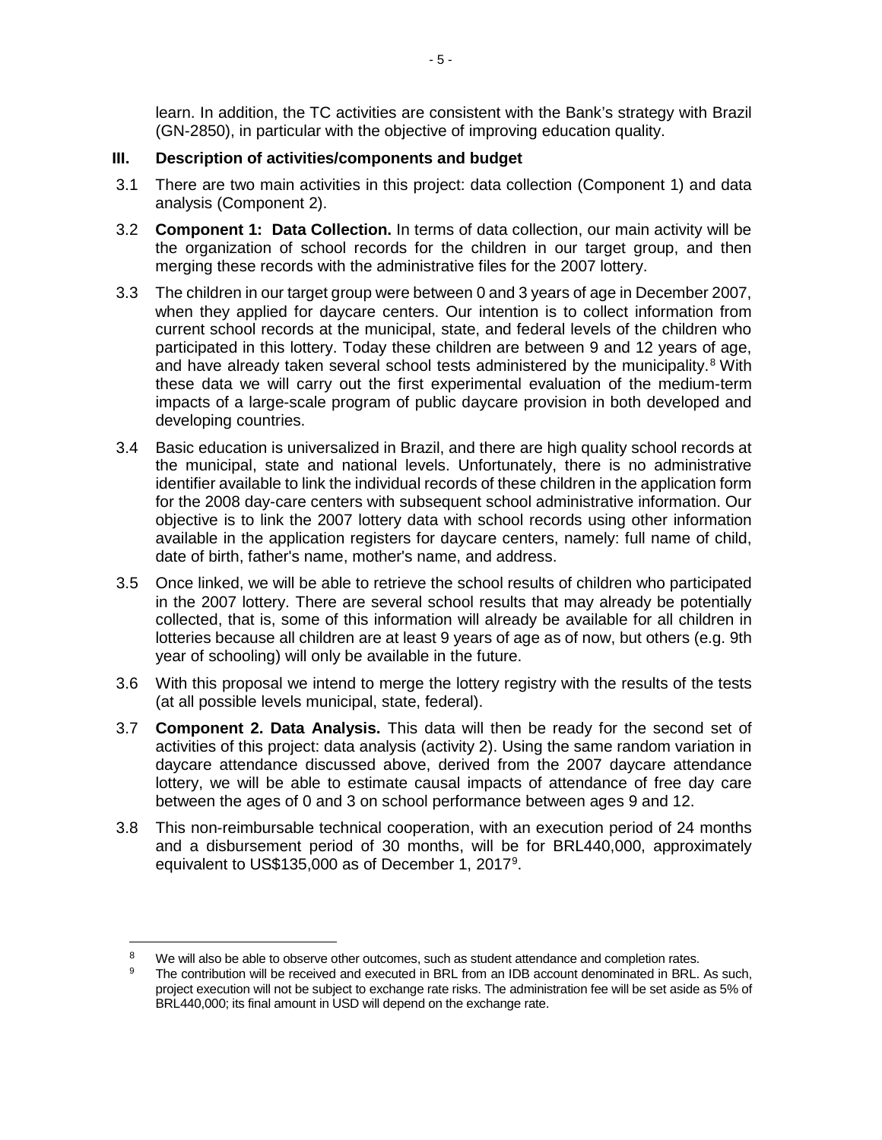learn. In addition, the TC activities are consistent with the Bank's strategy with Brazil (GN-2850), in particular with the objective of improving education quality.

#### **III. Description of activities/components and budget**

- 3.1 There are two main activities in this project: data collection (Component 1) and data analysis (Component 2).
- 3.2 **Component 1: Data Collection.** In terms of data collection, our main activity will be the organization of school records for the children in our target group, and then merging these records with the administrative files for the 2007 lottery.
- 3.3 The children in our target group were between 0 and 3 years of age in December 2007, when they applied for daycare centers. Our intention is to collect information from current school records at the municipal, state, and federal levels of the children who participated in this lottery. Today these children are between 9 and 12 years of age, and have already taken several school tests administered by the municipality.<sup>[8](#page-4-0)</sup> With these data we will carry out the first experimental evaluation of the medium-term impacts of a large-scale program of public daycare provision in both developed and developing countries.
- 3.4 Basic education is universalized in Brazil, and there are high quality school records at the municipal, state and national levels. Unfortunately, there is no administrative identifier available to link the individual records of these children in the application form for the 2008 day-care centers with subsequent school administrative information. Our objective is to link the 2007 lottery data with school records using other information available in the application registers for daycare centers, namely: full name of child, date of birth, father's name, mother's name, and address.
- 3.5 Once linked, we will be able to retrieve the school results of children who participated in the 2007 lottery. There are several school results that may already be potentially collected, that is, some of this information will already be available for all children in lotteries because all children are at least 9 years of age as of now, but others (e.g. 9th year of schooling) will only be available in the future.
- 3.6 With this proposal we intend to merge the lottery registry with the results of the tests (at all possible levels municipal, state, federal).
- 3.7 **Component 2. Data Analysis.** This data will then be ready for the second set of activities of this project: data analysis (activity 2). Using the same random variation in daycare attendance discussed above, derived from the 2007 daycare attendance lottery, we will be able to estimate causal impacts of attendance of free dav care between the ages of 0 and 3 on school performance between ages 9 and 12.
- 3.8 This non-reimbursable technical cooperation, with an execution period of 24 months and a disbursement period of 30 months, will be for BRL440,000, approximately equivalent to US\$135,000 as of December 1, 2017<sup>[9](#page-4-1)</sup>.

l

<span id="page-4-0"></span><sup>&</sup>lt;sup>8</sup> We will also be able to observe other outcomes, such as student attendance and completion rates.<br><sup>9</sup> The contribution will be received and executed in BRL from an IDB account denominated in BRL. As such,

<span id="page-4-1"></span>project execution will not be subject to exchange rate risks. The administration fee will be set aside as 5% of BRL440,000; its final amount in USD will depend on the exchange rate.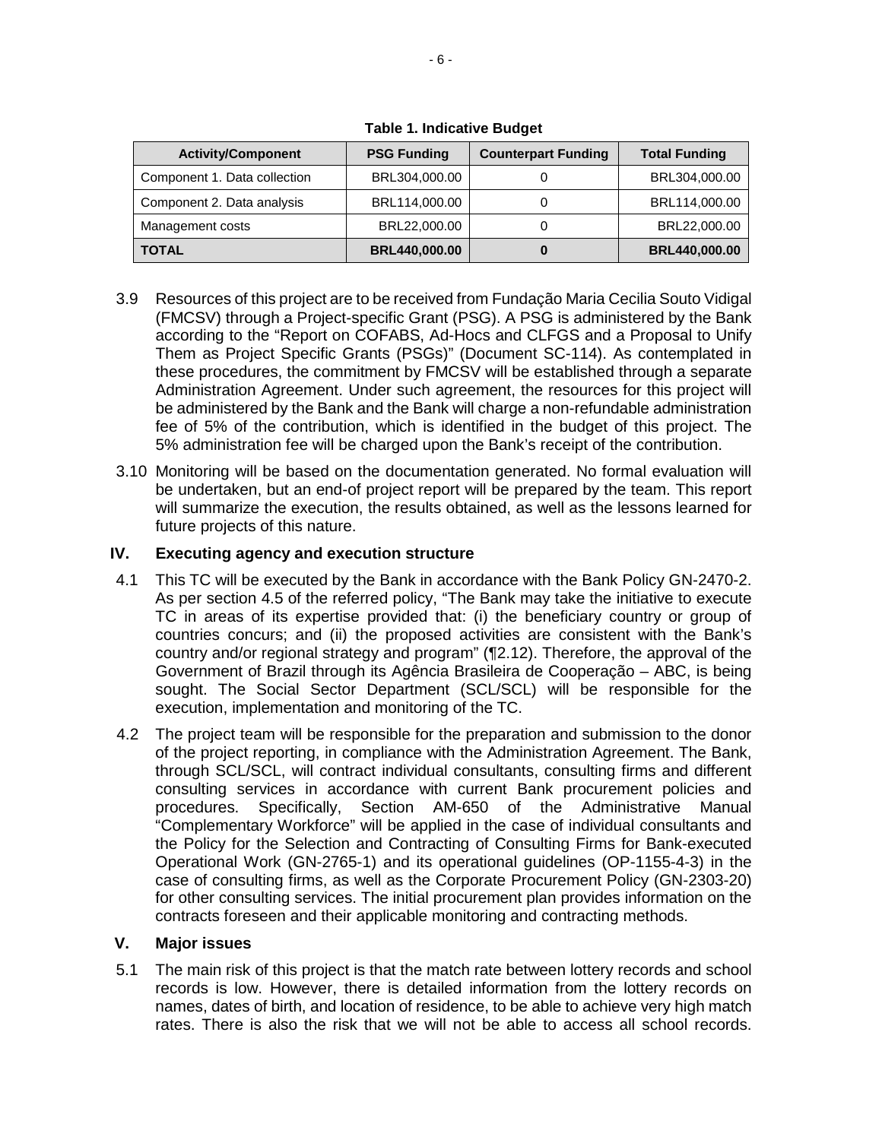| <b>Activity/Component</b>    | <b>PSG Funding</b>   | <b>Counterpart Funding</b> | <b>Total Funding</b> |
|------------------------------|----------------------|----------------------------|----------------------|
| Component 1. Data collection | BRL304,000.00        |                            | BRL304,000.00        |
| Component 2. Data analysis   | BRL114,000.00        |                            | BRL114,000.00        |
| Management costs             | BRL22,000.00         |                            | BRL22,000.00         |
| <b>TOTAL</b>                 | <b>BRL440,000.00</b> |                            | <b>BRL440,000.00</b> |

**Table 1. Indicative Budget**

- 3.9 Resources of this project are to be received from Fundação Maria Cecilia Souto Vidigal (FMCSV) through a Project-specific Grant (PSG). A PSG is administered by the Bank according to the "Report on COFABS, Ad-Hocs and CLFGS and a Proposal to Unify Them as Project Specific Grants (PSGs)" (Document SC-114). As contemplated in these procedures, the commitment by FMCSV will be established through a separate Administration Agreement. Under such agreement, the resources for this project will be administered by the Bank and the Bank will charge a non-refundable administration fee of 5% of the contribution, which is identified in the budget of this project. The 5% administration fee will be charged upon the Bank's receipt of the contribution.
- 3.10 Monitoring will be based on the documentation generated. No formal evaluation will be undertaken, but an end-of project report will be prepared by the team. This report will summarize the execution, the results obtained, as well as the lessons learned for future projects of this nature.

# **IV. Executing agency and execution structure**

- 4.1 This TC will be executed by the Bank in accordance with the Bank Policy GN-2470-2. As per section 4.5 of the referred policy, "The Bank may take the initiative to execute TC in areas of its expertise provided that: (i) the beneficiary country or group of countries concurs; and (ii) the proposed activities are consistent with the Bank's country and/or regional strategy and program" ([¶2.12\)](#page-3-3). Therefore, the approval of the Government of Brazil through its Agência Brasileira de Cooperação – ABC, is being sought. The Social Sector Department (SCL/SCL) will be responsible for the execution, implementation and monitoring of the TC.
- 4.2 The project team will be responsible for the preparation and submission to the donor of the project reporting, in compliance with the Administration Agreement. The Bank, through SCL/SCL, will contract individual consultants, consulting firms and different consulting services in accordance with current Bank procurement policies and procedures. Specifically, Section AM-650 of the Administrative Manual "Complementary Workforce" will be applied in the case of individual consultants and the Policy for the Selection and Contracting of Consulting Firms for Bank-executed Operational Work (GN-2765-1) and its operational guidelines (OP-1155-4-3) in the case of consulting firms, as well as the Corporate Procurement Policy (GN-2303-20) for other consulting services. The initial procurement plan provides information on the contracts foreseen and their applicable monitoring and contracting methods.

### **V. Major issues**

5.1 The main risk of this project is that the match rate between lottery records and school records is low. However, there is detailed information from the lottery records on names, dates of birth, and location of residence, to be able to achieve very high match rates. There is also the risk that we will not be able to access all school records.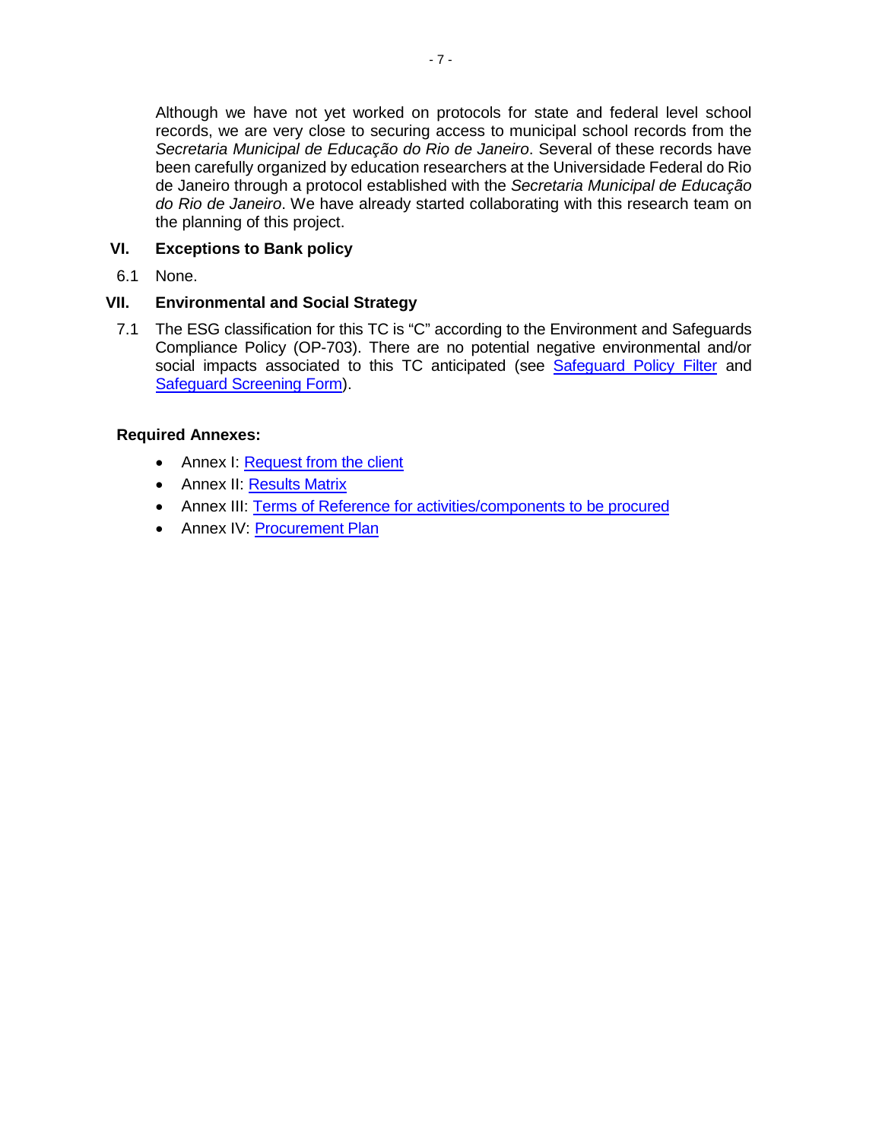Although we have not yet worked on protocols for state and federal level school records, we are very close to securing access to municipal school records from the *Secretaria Municipal de Educação do Rio de Janeiro*. Several of these records have been carefully organized by education researchers at the Universidade Federal do Rio de Janeiro through a protocol established with the *Secretaria Municipal de Educação do Rio de Janeiro*. We have already started collaborating with this research team on the planning of this project.

# **VI. Exceptions to Bank policy**

6.1 None.

### **VII. Environmental and Social Strategy**

7.1 The ESG classification for this TC is ["C"](http://idbdocs.iadb.org/wsdocs/getDocument.aspx?DOCNUM=37424842) according to the [Environment and Safeguards](http://idbdocs.iadb.org/wsdocs/getDocument.aspx?DOCNUM=38722975)  [Compliance Policy](http://idbdocs.iadb.org/wsdocs/getDocument.aspx?DOCNUM=38722975) (OP-703). There are no potential negative environmental and/or social impacts associated to this TC anticipated (see [Safeguard Policy Filter](http://idbdocs.iadb.org/wsdocs/getDocument.aspx?DOCNUM=EZSHARE-898605148-4) and [Safeguard Screening Form\)](http://idbdocs.iadb.org/wsdocs/getDocument.aspx?DOCNUM=EZSHARE-898605148-5).

### **Required Annexes:**

- Annex I: Request from the client
- Annex II: [Results Matrix](#page-8-0)
- Annex III: [Terms of Reference for activities/components to be procured](#page-9-0)
- Annex IV: [Procurement Plan](#page-15-0)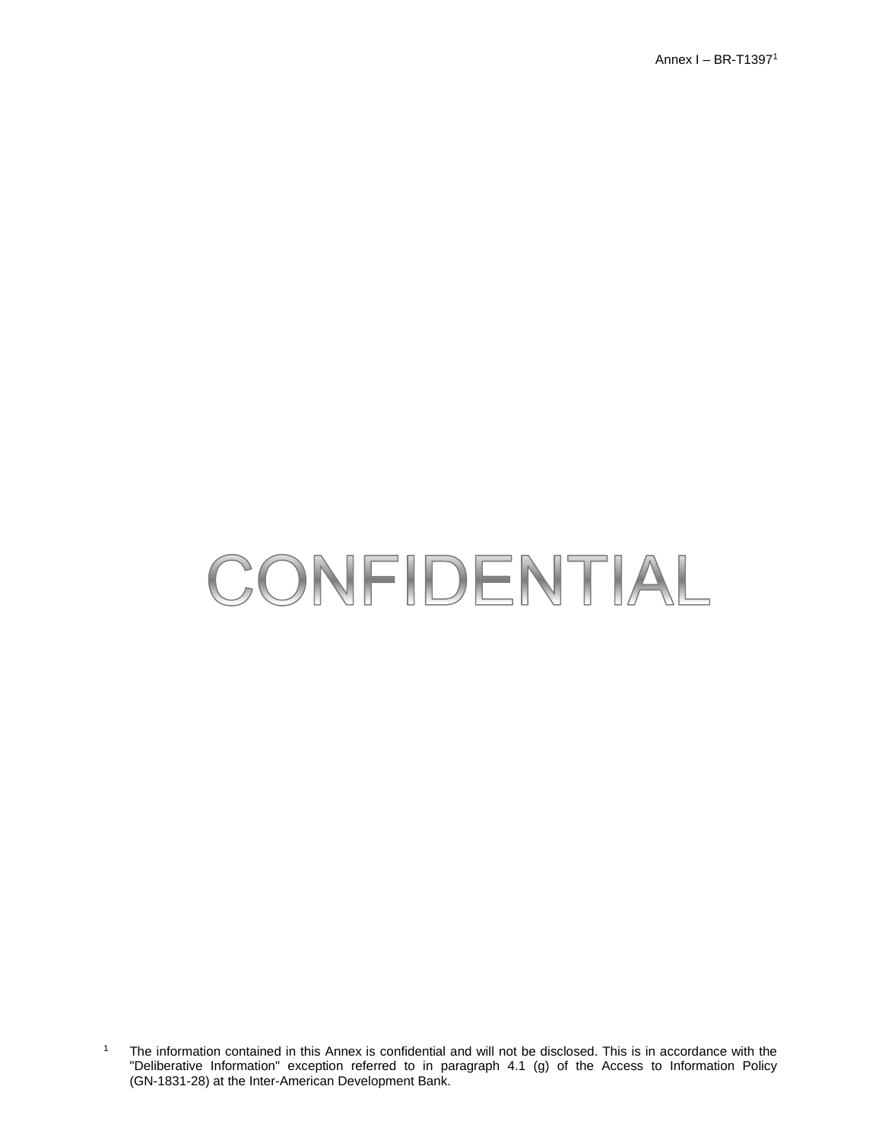Annex I – BR-T1397<sup>1</sup>

# CONFIDENTIAL

<sup>1</sup> The information contained in this Annex is confidential and will not be disclosed. This is in accordance with the "Deliberative Information" exception referred to in paragraph 4.1 (g) of the Access to Information Policy (GN-1831-28) at the Inter-American Development Bank.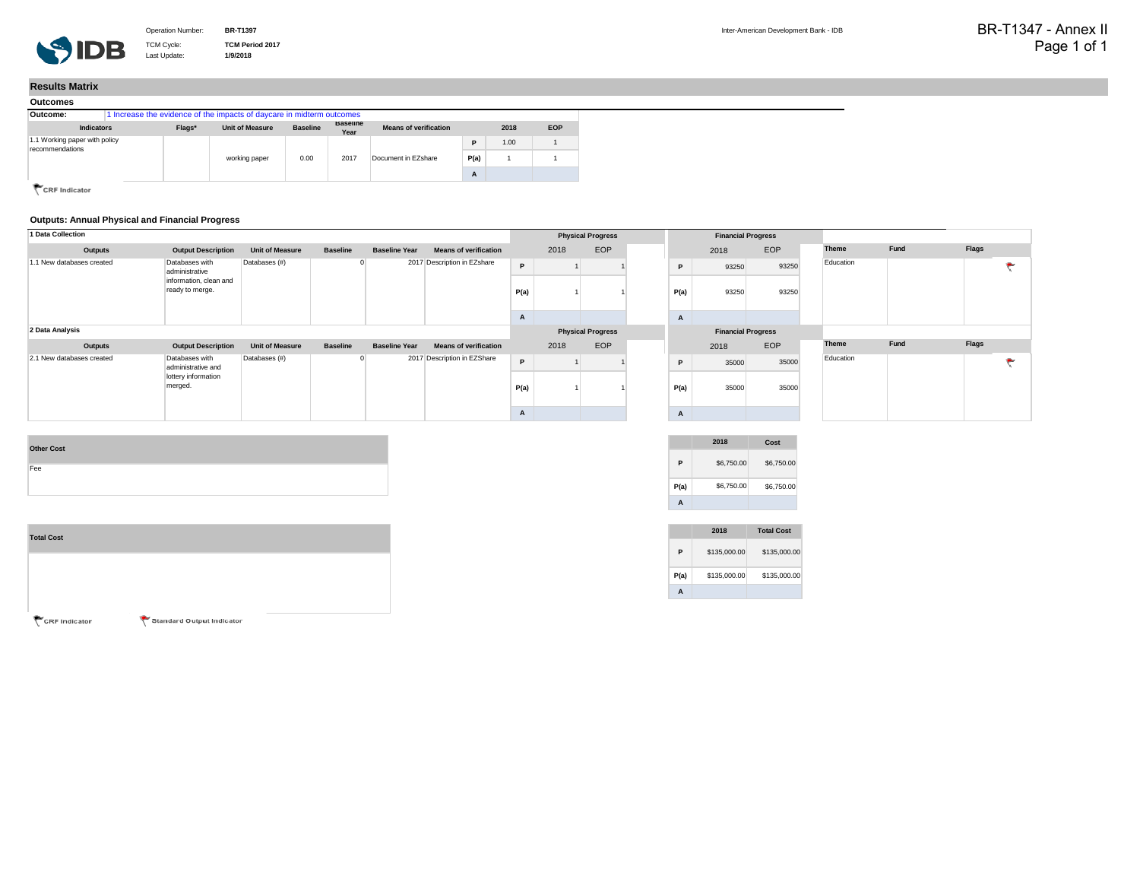TCM Cycle: **TCM Period 2017** Last Update: **1/9/2018**

#### <span id="page-8-0"></span>**Results Matrix**

| Outcomes                                         |  |        |                                                                       |                 |                         |                              |      |      |            |
|--------------------------------------------------|--|--------|-----------------------------------------------------------------------|-----------------|-------------------------|------------------------------|------|------|------------|
| Outcome:                                         |  |        | 1 Increase the evidence of the impacts of daycare in midterm outcomes |                 |                         |                              |      |      |            |
| <b>Indicators</b>                                |  | Flags* | <b>Unit of Measure</b>                                                | <b>Baseline</b> | <b>Baseline</b><br>Year | <b>Means of verification</b> |      | 2018 | <b>EOP</b> |
| 1.1 Working paper with policy<br>recommendations |  |        |                                                                       |                 |                         |                              | D    | 1.00 |            |
|                                                  |  |        | working paper                                                         | 0.00            | 2017                    | Document in EZshare          | P(a) |      |            |
|                                                  |  |        |                                                                       |                 |                         |                              | A    |      |            |

CRF Indicator

#### **Outputs: Annual Physical and Financial Progress**

| 1 Data Collection         |                                                                               |                        |                 |                      |                              | <b>Physical Progress</b> |      |                          | <b>Financial Progress</b> |                      |                           |                |              |  |      |              |  |
|---------------------------|-------------------------------------------------------------------------------|------------------------|-----------------|----------------------|------------------------------|--------------------------|------|--------------------------|---------------------------|----------------------|---------------------------|----------------|--------------|--|------|--------------|--|
| Outputs                   | <b>Output Description</b>                                                     | <b>Unit of Measure</b> | <b>Baseline</b> | <b>Baseline Year</b> | <b>Means of verification</b> |                          | 2018 | EOP                      |                           |                      | 2018                      | EOP            | <b>Theme</b> |  | Fund | <b>Flags</b> |  |
| 1.1 New databases created | Databases with<br>administrative<br>information, clean and<br>ready to merge. | Databases (#)          |                 |                      | 2017 Description in EZshare  | P<br>P(a)                |      |                          |                           | $\mathsf{P}$<br>P(a) | 93250<br>93250            | 93250<br>93250 | Education    |  |      |              |  |
|                           |                                                                               |                        |                 |                      |                              | A                        |      |                          |                           | $\mathbf{A}$         |                           |                |              |  |      |              |  |
| 2 Data Analysis           |                                                                               |                        |                 |                      |                              |                          |      | <b>Physical Progress</b> |                           |                      | <b>Financial Progress</b> |                |              |  |      |              |  |
| Outputs                   | <b>Output Description</b>                                                     | <b>Unit of Measure</b> | <b>Baseline</b> | <b>Baseline Year</b> | <b>Means of verification</b> |                          | 2018 | EOP                      |                           |                      | 2018                      | EOP            | <b>Theme</b> |  | Fund | <b>Flags</b> |  |
| 2.1 New databases created | Databases with<br>administrative and                                          | Databases (#)          |                 |                      | 2017 Description in EZShare  | P                        |      |                          |                           | $\mathsf{P}$         | 35000                     | 35000          | Education    |  |      |              |  |
|                           | lottery information<br>merged.                                                |                        |                 |                      |                              | P(a)                     |      |                          |                           | P(a)                 | 35000                     | 35000          |              |  |      |              |  |
|                           |                                                                               |                        |                 |                      |                              | A                        |      |                          |                           | A                    |                           |                |              |  |      |              |  |
|                           |                                                                               |                        |                 |                      |                              |                          |      |                          |                           |                      |                           |                |              |  |      |              |  |

| \$6,750.00<br>D.<br>P(a) | <b>Other Cost</b> |
|--------------------------|-------------------|
| \$6,750.00               |                   |
|                          |                   |
|                          |                   |

| <b>Total Cost</b> |                           |  |
|-------------------|---------------------------|--|
|                   |                           |  |
|                   |                           |  |
| CRF Indicator     | Standard Output Indicator |  |

|      | 2018       | Cost       |
|------|------------|------------|
| P    | \$6,750.00 | \$6,750.00 |
| P(a) | \$6,750.00 | \$6,750.00 |
| Δ    |            |            |

|      | 2018         | <b>Total Cost</b> |
|------|--------------|-------------------|
| Р    | \$135,000,00 | \$135,000,00      |
| P(a) | \$135,000,00 | \$135,000,00      |
| Δ    |              |                   |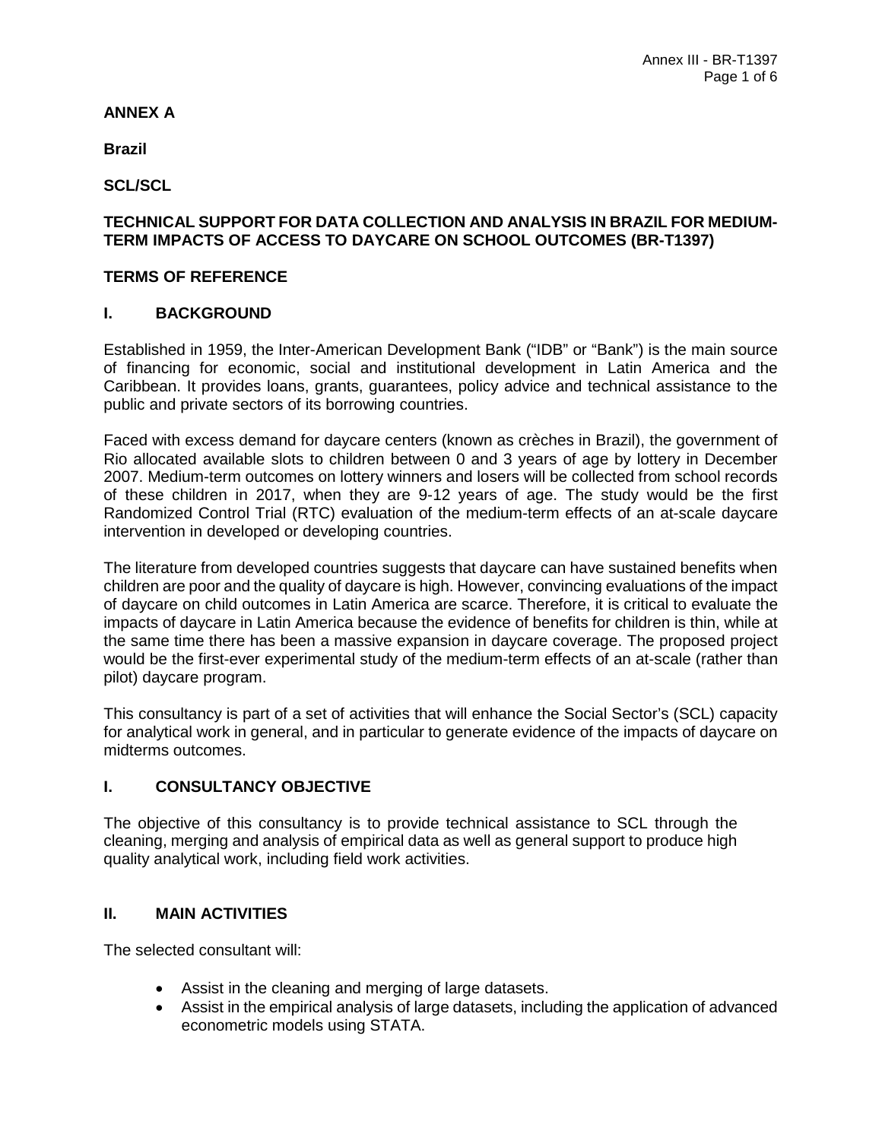# <span id="page-9-0"></span>**ANNEX A**

**Brazil**

**SCL/SCL**

### **TECHNICAL SUPPORT FOR DATA COLLECTION AND ANALYSIS IN BRAZIL FOR MEDIUM-TERM IMPACTS OF ACCESS TO DAYCARE ON SCHOOL OUTCOMES (BR-T1397)**

# **TERMS OF REFERENCE**

### **I. BACKGROUND**

Established in 1959, the Inter-American Development Bank ("IDB" or "Bank") is the main source of financing for economic, social and institutional development in Latin America and the Caribbean. It provides loans, grants, guarantees, policy advice and technical assistance to the public and private sectors of its borrowing countries.

Faced with excess demand for daycare centers (known as crèches in Brazil), the government of Rio allocated available slots to children between 0 and 3 years of age by lottery in December 2007. Medium-term outcomes on lottery winners and losers will be collected from school records of these children in 2017, when they are 9-12 years of age. The study would be the first Randomized Control Trial (RTC) evaluation of the medium-term effects of an at-scale daycare intervention in developed or developing countries.

The literature from developed countries suggests that daycare can have sustained benefits when children are poor and the quality of daycare is high. However, convincing evaluations of the impact of daycare on child outcomes in Latin America are scarce. Therefore, it is critical to evaluate the impacts of daycare in Latin America because the evidence of benefits for children is thin, while at the same time there has been a massive expansion in daycare coverage. The proposed project would be the first-ever experimental study of the medium-term effects of an at-scale (rather than pilot) daycare program.

This consultancy is part of a set of activities that will enhance the Social Sector's (SCL) capacity for analytical work in general, and in particular to generate evidence of the impacts of daycare on midterms outcomes.

### **I. CONSULTANCY OBJECTIVE**

The objective of this consultancy is to provide technical assistance to SCL through the cleaning, merging and analysis of empirical data as well as general support to produce high quality analytical work, including field work activities.

### **II. MAIN ACTIVITIES**

The selected consultant will:

- Assist in the cleaning and merging of large datasets.
- Assist in the empirical analysis of large datasets, including the application of advanced econometric models using STATA.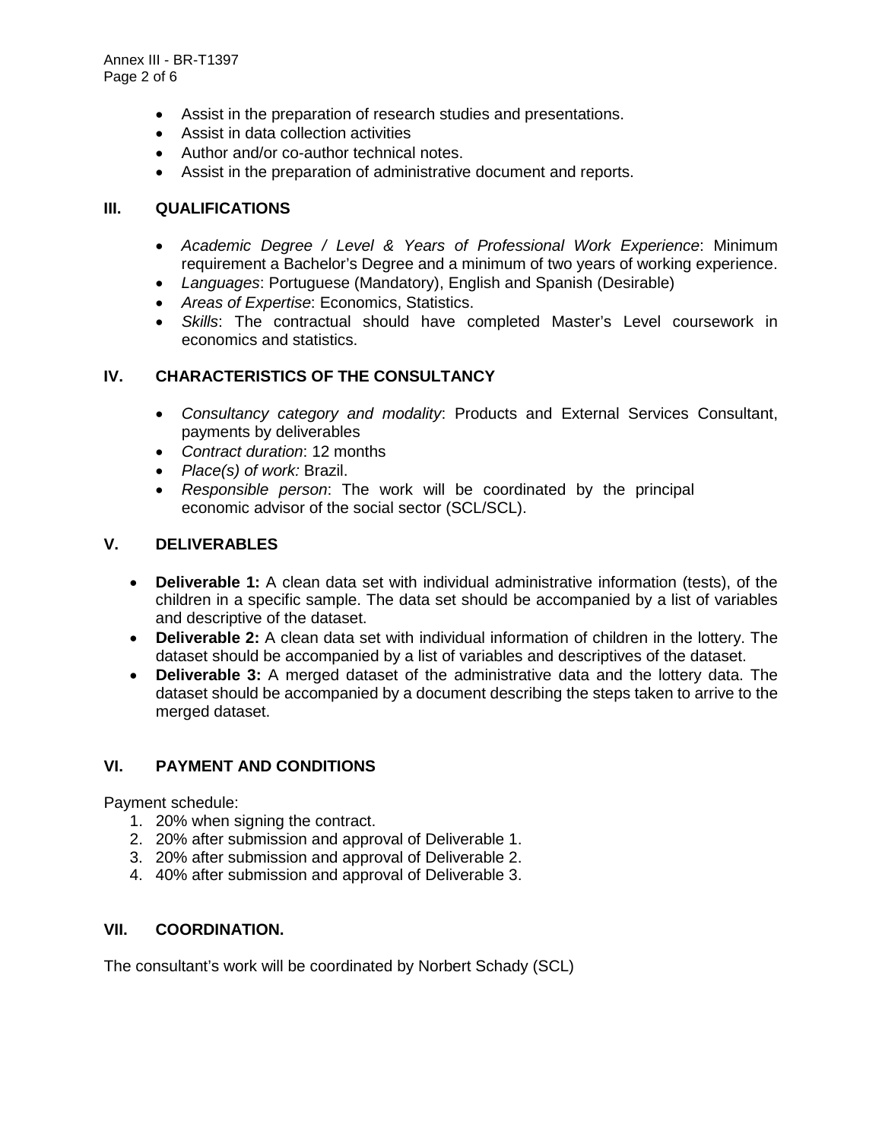Annex III - BR-T1397 Page 2 of 6

- Assist in the preparation of research studies and presentations.
- Assist in data collection activities
- Author and/or co-author technical notes.
- Assist in the preparation of administrative document and reports.

#### **III. QUALIFICATIONS**

- *Academic Degree / Level & Years of Professional Work Experience*: Minimum requirement a Bachelor's Degree and a minimum of two years of working experience.
- *Languages*: Portuguese (Mandatory), English and Spanish (Desirable)
- *Areas of Expertise*: Economics, Statistics.
- *Skills*: The contractual should have completed Master's Level coursework in economics and statistics.

#### **IV. CHARACTERISTICS OF THE CONSULTANCY**

- *Consultancy category and modality*: Products and External Services Consultant, payments by deliverables
- *Contract duration*: 12 months
- *Place(s) of work:* Brazil.
- *Responsible person*: The work will be coordinated by the principal economic advisor of the social sector (SCL/SCL).

#### **V. DELIVERABLES**

- **Deliverable 1:** A clean data set with individual administrative information (tests), of the children in a specific sample. The data set should be accompanied by a list of variables and descriptive of the dataset.
- **Deliverable 2:** A clean data set with individual information of children in the lottery. The dataset should be accompanied by a list of variables and descriptives of the dataset.
- **Deliverable 3:** A merged dataset of the administrative data and the lottery data. The dataset should be accompanied by a document describing the steps taken to arrive to the merged dataset.

### **VI. PAYMENT AND CONDITIONS**

Payment schedule:

- 1. 20% when signing the contract.
- 2. 20% after submission and approval of Deliverable 1.
- 3. 20% after submission and approval of Deliverable 2.
- 4. 40% after submission and approval of Deliverable 3.

#### **VII. COORDINATION.**

The consultant's work will be coordinated by Norbert Schady (SCL)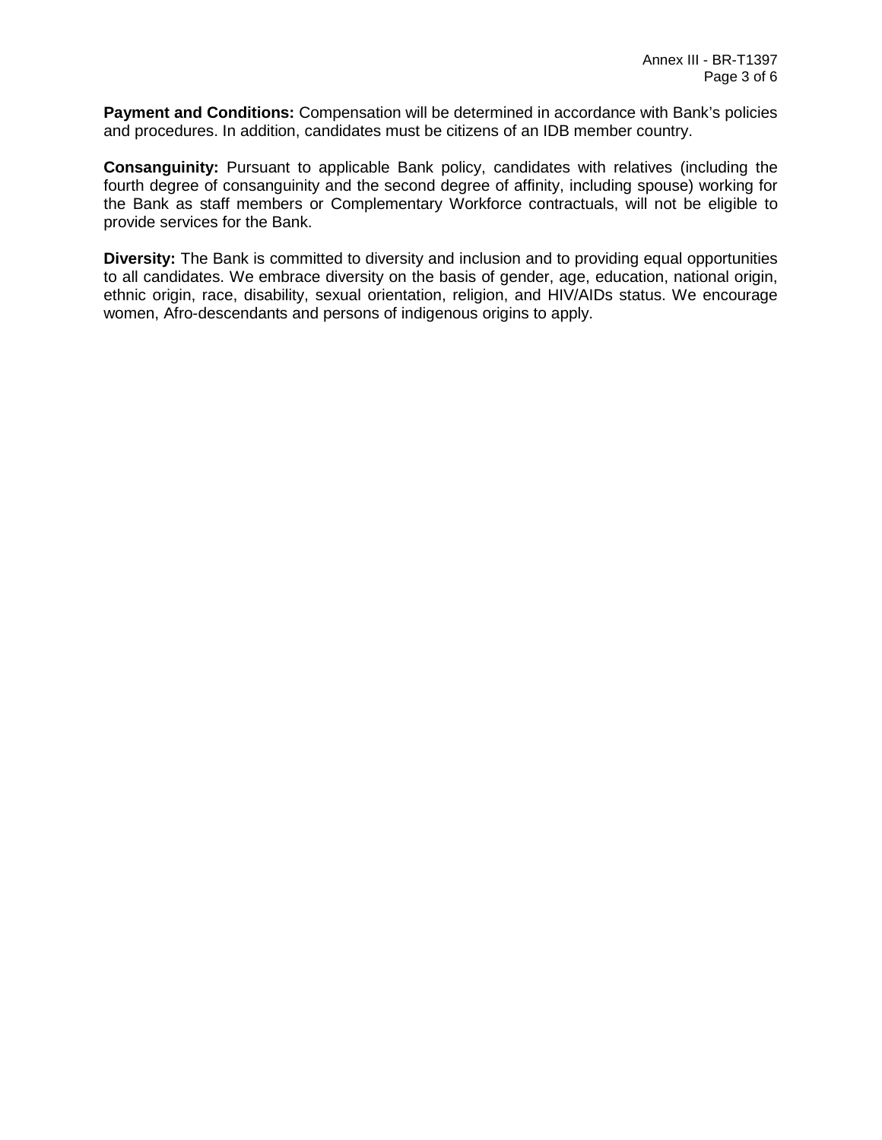**Payment and Conditions:** Compensation will be determined in accordance with Bank's policies and procedures. In addition, candidates must be citizens of an IDB member country.

**Consanguinity:** Pursuant to applicable Bank policy, candidates with relatives (including the fourth degree of consanguinity and the second degree of affinity, including spouse) working for the Bank as staff members or Complementary Workforce contractuals, will not be eligible to provide services for the Bank.

**Diversity:** The Bank is committed to diversity and inclusion and to providing equal opportunities to all candidates. We embrace diversity on the basis of gender, age, education, national origin, ethnic origin, race, disability, sexual orientation, religion, and HIV/AIDs status. We encourage women, Afro-descendants and persons of indigenous origins to apply.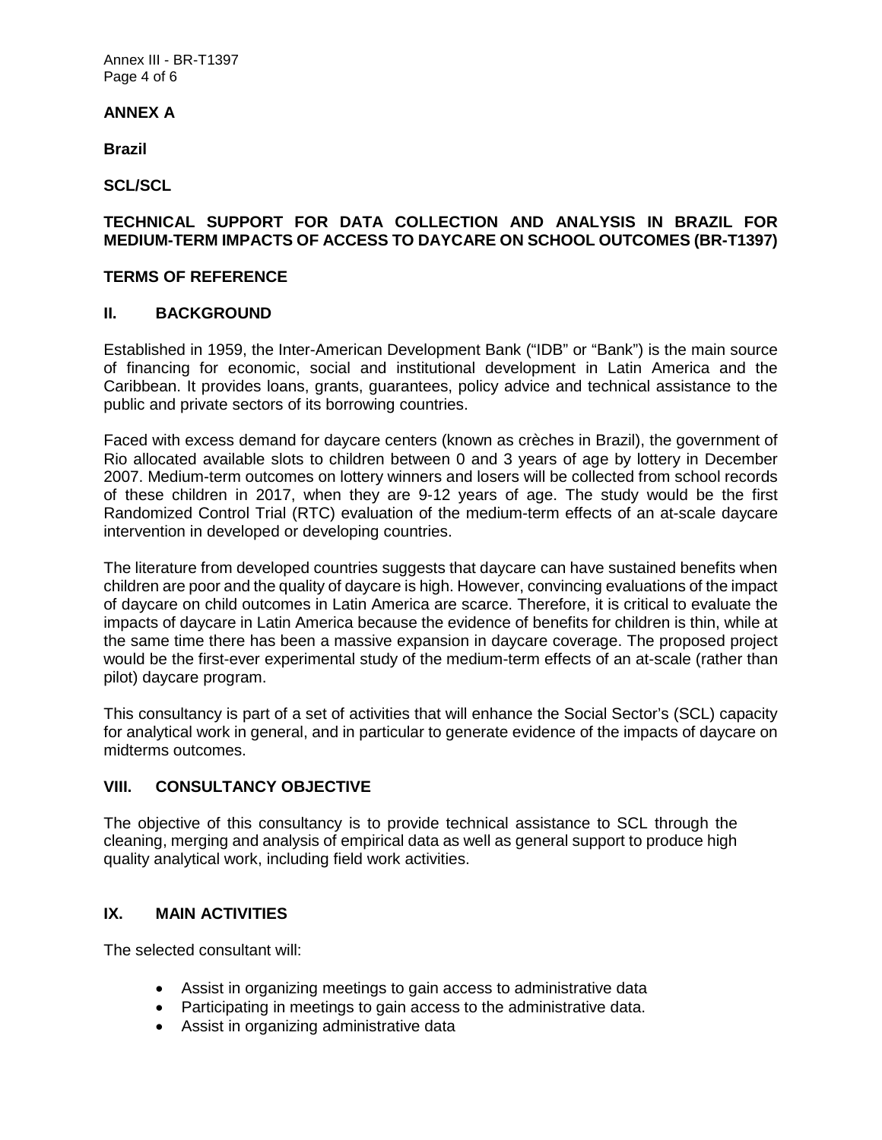Annex III - BR-T1397 Page 4 of 6

# **ANNEX A**

**Brazil**

**SCL/SCL**

#### **TECHNICAL SUPPORT FOR DATA COLLECTION AND ANALYSIS IN BRAZIL FOR MEDIUM-TERM IMPACTS OF ACCESS TO DAYCARE ON SCHOOL OUTCOMES (BR-T1397)**

#### **TERMS OF REFERENCE**

#### **II. BACKGROUND**

Established in 1959, the Inter-American Development Bank ("IDB" or "Bank") is the main source of financing for economic, social and institutional development in Latin America and the Caribbean. It provides loans, grants, guarantees, policy advice and technical assistance to the public and private sectors of its borrowing countries.

Faced with excess demand for daycare centers (known as crèches in Brazil), the government of Rio allocated available slots to children between 0 and 3 years of age by lottery in December 2007. Medium-term outcomes on lottery winners and losers will be collected from school records of these children in 2017, when they are 9-12 years of age. The study would be the first Randomized Control Trial (RTC) evaluation of the medium-term effects of an at-scale daycare intervention in developed or developing countries.

The literature from developed countries suggests that daycare can have sustained benefits when children are poor and the quality of daycare is high. However, convincing evaluations of the impact of daycare on child outcomes in Latin America are scarce. Therefore, it is critical to evaluate the impacts of daycare in Latin America because the evidence of benefits for children is thin, while at the same time there has been a massive expansion in daycare coverage. The proposed project would be the first-ever experimental study of the medium-term effects of an at-scale (rather than pilot) daycare program.

This consultancy is part of a set of activities that will enhance the Social Sector's (SCL) capacity for analytical work in general, and in particular to generate evidence of the impacts of daycare on midterms outcomes.

### **VIII. CONSULTANCY OBJECTIVE**

The objective of this consultancy is to provide technical assistance to SCL through the cleaning, merging and analysis of empirical data as well as general support to produce high quality analytical work, including field work activities.

### **IX. MAIN ACTIVITIES**

The selected consultant will:

- Assist in organizing meetings to gain access to administrative data
- Participating in meetings to gain access to the administrative data.
- Assist in organizing administrative data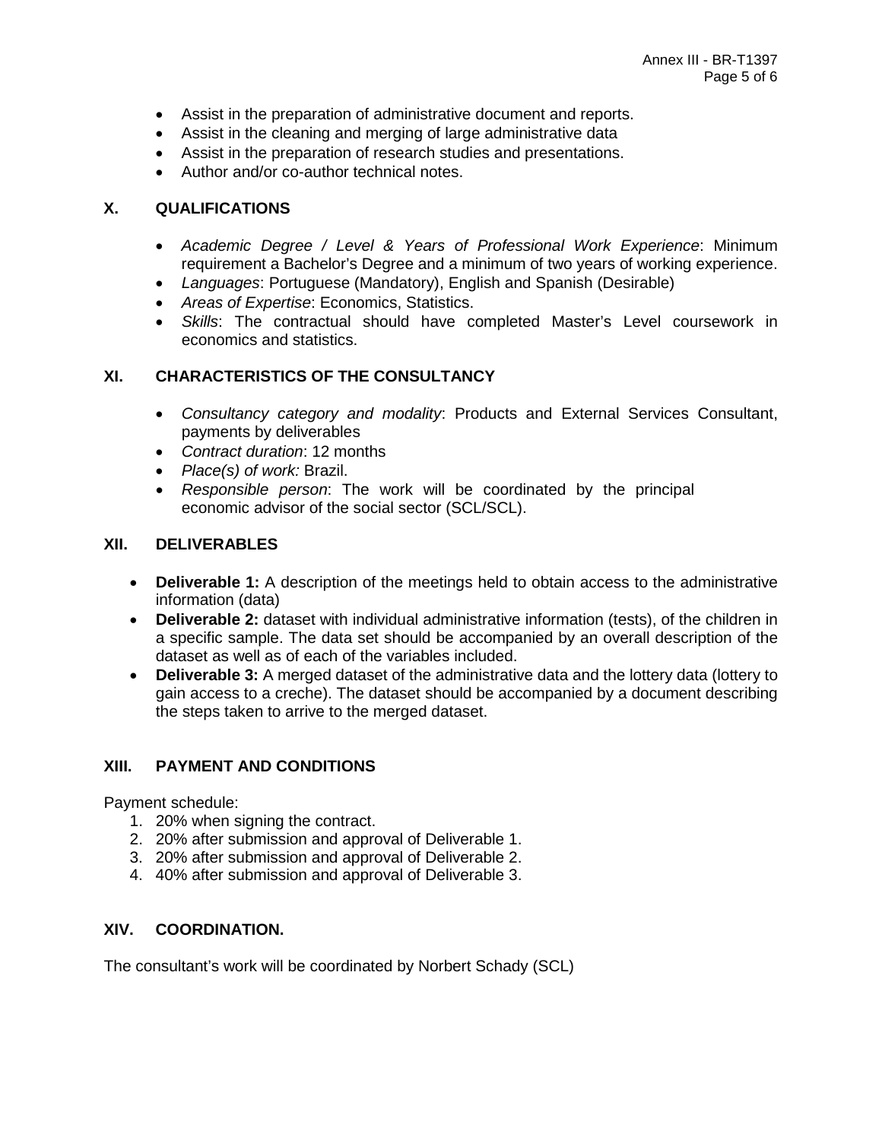- Assist in the preparation of administrative document and reports.
- Assist in the cleaning and merging of large administrative data
- Assist in the preparation of research studies and presentations.
- Author and/or co-author technical notes.

#### **X. QUALIFICATIONS**

- *Academic Degree / Level & Years of Professional Work Experience*: Minimum requirement a Bachelor's Degree and a minimum of two years of working experience.
- *Languages*: Portuguese (Mandatory), English and Spanish (Desirable)
- *Areas of Expertise*: Economics, Statistics.
- *Skills*: The contractual should have completed Master's Level coursework in economics and statistics.

#### **XI. CHARACTERISTICS OF THE CONSULTANCY**

- *Consultancy category and modality*: Products and External Services Consultant, payments by deliverables
- *Contract duration*: 12 months
- *Place(s) of work:* Brazil.
- *Responsible person*: The work will be coordinated by the principal economic advisor of the social sector (SCL/SCL).

#### **XII. DELIVERABLES**

- **Deliverable 1:** A description of the meetings held to obtain access to the administrative information (data)
- **Deliverable 2:** dataset with individual administrative information (tests), of the children in a specific sample. The data set should be accompanied by an overall description of the dataset as well as of each of the variables included.
- **Deliverable 3:** A merged dataset of the administrative data and the lottery data (lottery to gain access to a creche). The dataset should be accompanied by a document describing the steps taken to arrive to the merged dataset.

### **XIII. PAYMENT AND CONDITIONS**

Payment schedule:

- 1. 20% when signing the contract.
- 2. 20% after submission and approval of Deliverable 1.
- 3. 20% after submission and approval of Deliverable 2.
- 4. 40% after submission and approval of Deliverable 3.

#### **XIV. COORDINATION.**

The consultant's work will be coordinated by Norbert Schady (SCL)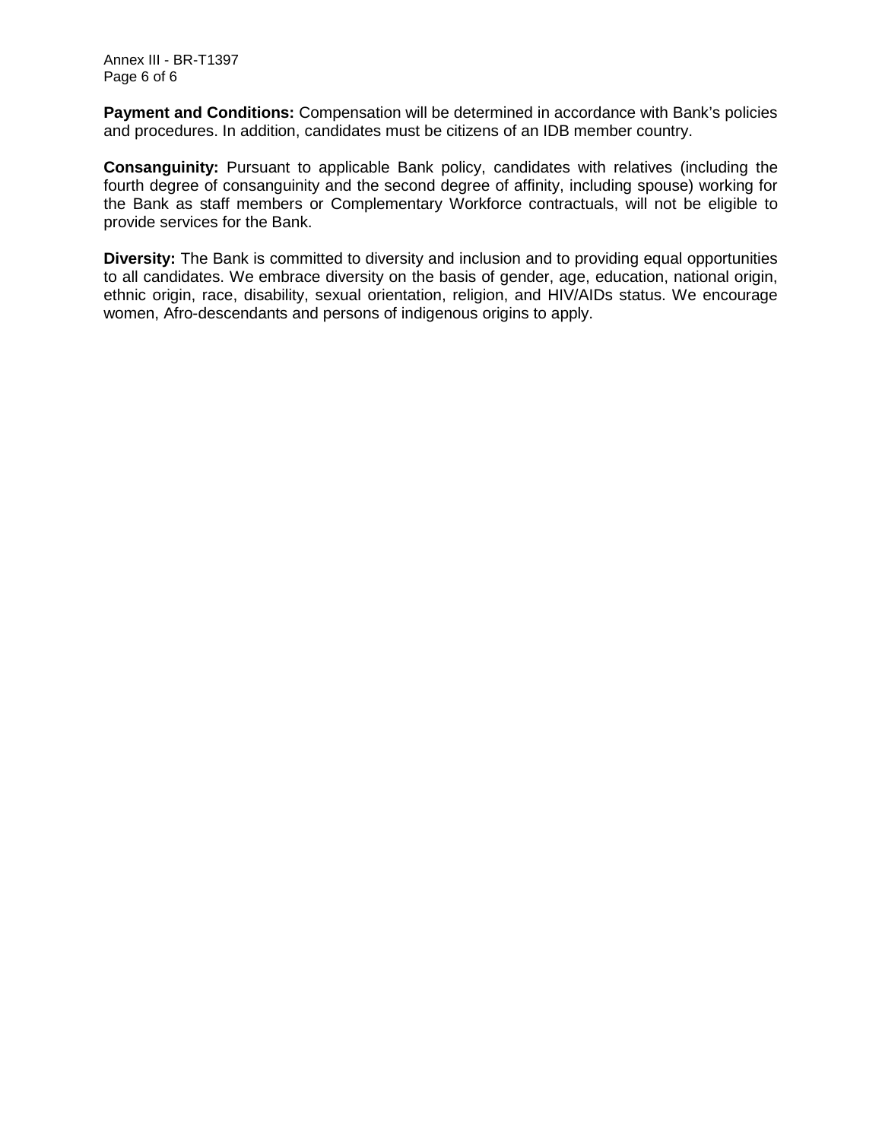Annex III - BR-T1397 Page 6 of 6

**Payment and Conditions:** Compensation will be determined in accordance with Bank's policies and procedures. In addition, candidates must be citizens of an IDB member country.

**Consanguinity:** Pursuant to applicable Bank policy, candidates with relatives (including the fourth degree of consanguinity and the second degree of affinity, including spouse) working for the Bank as staff members or Complementary Workforce contractuals, will not be eligible to provide services for the Bank.

**Diversity:** The Bank is committed to diversity and inclusion and to providing equal opportunities to all candidates. We embrace diversity on the basis of gender, age, education, national origin, ethnic origin, race, disability, sexual orientation, religion, and HIV/AIDs status. We encourage women, Afro-descendants and persons of indigenous origins to apply.